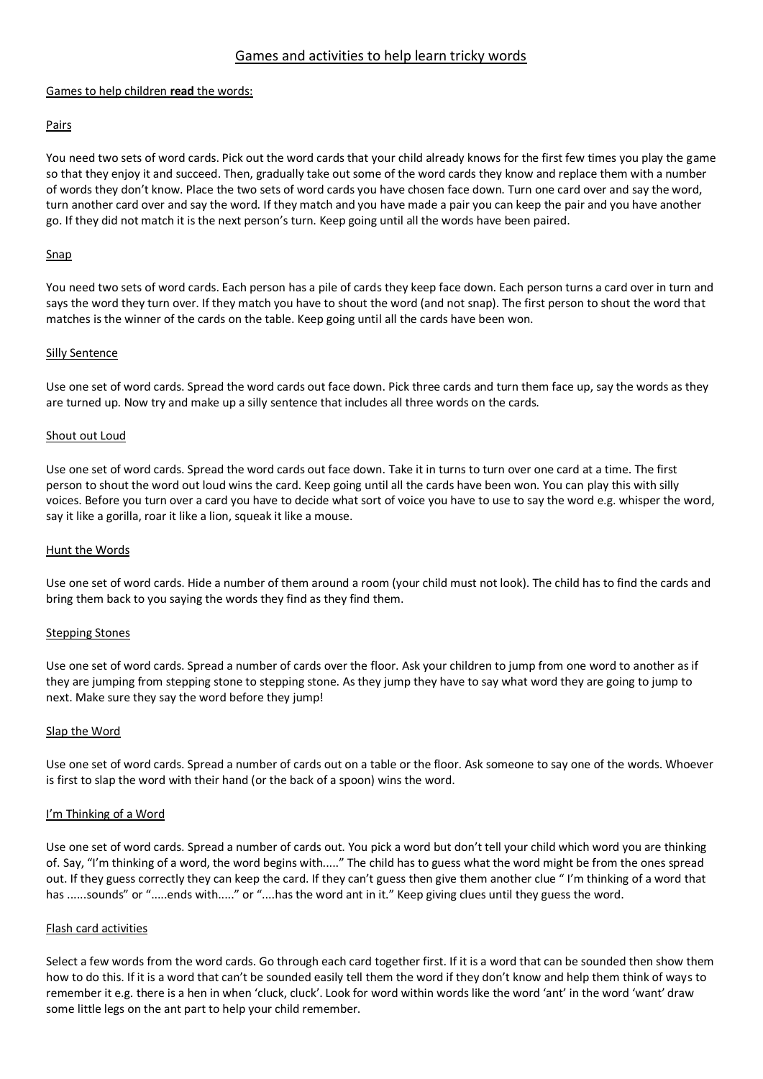# Games and activities to help learn tricky words

#### Games to help children **read** the words:

## Pairs

You need two sets of word cards. Pick out the word cards that your child already knows for the first few times you play the game so that they enjoy it and succeed. Then, gradually take out some of the word cards they know and replace them with a number of words they don't know. Place the two sets of word cards you have chosen face down. Turn one card over and say the word, turn another card over and say the word. If they match and you have made a pair you can keep the pair and you have another go. If they did not match it is the next person's turn. Keep going until all the words have been paired.

### Snap

You need two sets of word cards. Each person has a pile of cards they keep face down. Each person turns a card over in turn and says the word they turn over. If they match you have to shout the word (and not snap). The first person to shout the word that matches is the winner of the cards on the table. Keep going until all the cards have been won.

#### Silly Sentence

Use one set of word cards. Spread the word cards out face down. Pick three cards and turn them face up, say the words as they are turned up. Now try and make up a silly sentence that includes all three words on the cards.

### Shout out Loud

Use one set of word cards. Spread the word cards out face down. Take it in turns to turn over one card at a time. The first person to shout the word out loud wins the card. Keep going until all the cards have been won. You can play this with silly voices. Before you turn over a card you have to decide what sort of voice you have to use to say the word e.g. whisper the word, say it like a gorilla, roar it like a lion, squeak it like a mouse.

#### Hunt the Words

Use one set of word cards. Hide a number of them around a room (your child must not look). The child has to find the cards and bring them back to you saying the words they find as they find them.

#### Stepping Stones

Use one set of word cards. Spread a number of cards over the floor. Ask your children to jump from one word to another as if they are jumping from stepping stone to stepping stone. As they jump they have to say what word they are going to jump to next. Make sure they say the word before they jump!

#### Slap the Word

Use one set of word cards. Spread a number of cards out on a table or the floor. Ask someone to say one of the words. Whoever is first to slap the word with their hand (or the back of a spoon) wins the word.

#### I'm Thinking of a Word

Use one set of word cards. Spread a number of cards out. You pick a word but don't tell your child which word you are thinking of. Say, "I'm thinking of a word, the word begins with....." The child has to guess what the word might be from the ones spread out. If they guess correctly they can keep the card. If they can't guess then give them another clue " I'm thinking of a word that has ......sounds" or ".....ends with....." or "....has the word ant in it." Keep giving clues until they guess the word.

#### Flash card activities

Select a few words from the word cards. Go through each card together first. If it is a word that can be sounded then show them how to do this. If it is a word that can't be sounded easily tell them the word if they don't know and help them think of ways to remember it e.g. there is a hen in when 'cluck, cluck'. Look for word within words like the word 'ant' in the word 'want' draw some little legs on the ant part to help your child remember.